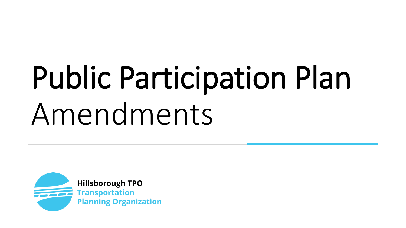## Public Participation Plan Amendments

**Hillsborough TPO Transportation Planning Organization**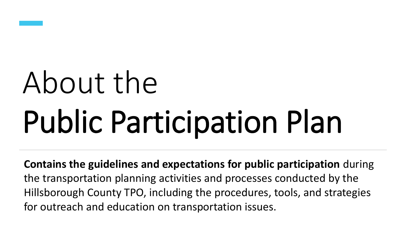

# About the Public Participation Plan

**Contains the guidelines and expectations for public participation** during the transportation planning activities and processes conducted by the Hillsborough County TPO, including the procedures, tools, and strategies for outreach and education on transportation issues.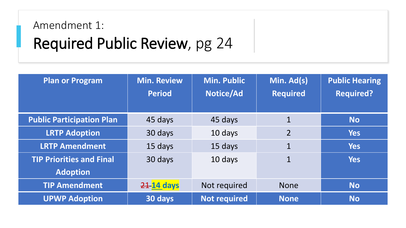## Amendment 1: Required Public Review, pg 24

| <b>Plan or Program</b>           | <b>Min. Review</b><br><b>Period</b> | <b>Min. Public</b><br>Notice/Ad | Min. Ad(s)<br><b>Required</b> | <b>Public Hearing</b><br><b>Required?</b> |
|----------------------------------|-------------------------------------|---------------------------------|-------------------------------|-------------------------------------------|
| <b>Public Participation Plan</b> | 45 days                             | 45 days                         | $\mathbf 1$                   | <b>No</b>                                 |
| <b>LRTP Adoption</b>             | 30 days                             | 10 days                         | $\overline{2}$                | <b>Yes</b>                                |
| <b>LRTP Amendment</b>            | 15 days                             | 15 days                         | $\mathbf 1$                   | <b>Yes</b>                                |
| <b>TIP Priorities and Final</b>  | 30 days                             | 10 days                         | $\mathbf 1$                   | <b>Yes</b>                                |
| <b>Adoption</b>                  |                                     |                                 |                               |                                           |
| <b>TIP Amendment</b>             | 21 14 days                          | Not required                    | <b>None</b>                   | <b>No</b>                                 |
| <b>UPWP Adoption</b>             | 30 days                             | <b>Not required</b>             | <b>None</b>                   | <b>No</b>                                 |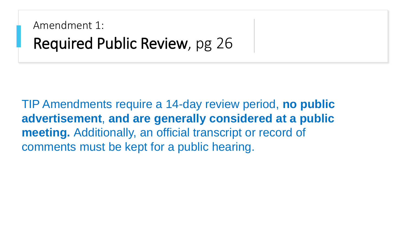Amendment 1: Required Public Review, pg 26

TIP Amendments require a 14-day review period, **no public advertisement**, **and are generally considered at a public meeting.** Additionally, an official transcript or record of comments must be kept for a public hearing.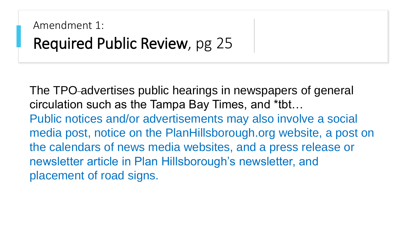### Amendment 1: Required Public Review, pg 25

The TPO-advertises public hearings in newspapers of general circulation such as the Tampa Bay Times, and \*tbt… Public notices and/or advertisements may also involve a social media post, notice on the PlanHillsborough.org website, a post on the calendars of news media websites, and a press release or newsletter article in Plan Hillsborough's newsletter, and placement of road signs.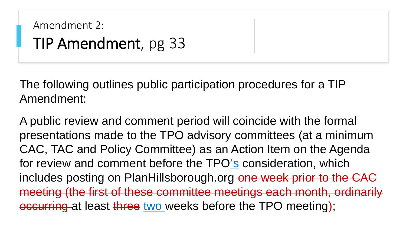```
Amendment 2: 
TIP Amendment, pg 33
```
The following outlines public participation procedures for a TIP Amendment:

A public review and comment period will coincide with the formal presentations made to the TPO advisory committees (at a minimum CAC, TAC and Policy Committee) as an Action Item on the Agenda for review and comment before the TPO's consideration, which includes posting on PlanHillsborough.org one week prior to the CAC meeting (the first of these committee meetings each month, ordinarily occurring at least three two weeks before the TPO meeting);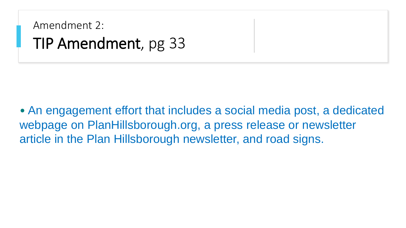Amendment 2: TIP Amendment, pg 33

• An engagement effort that includes a social media post, a dedicated webpage on PlanHillsborough.org, a press release or newsletter article in the Plan Hillsborough newsletter, and road signs.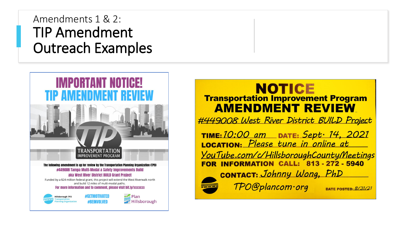#### Amendments 1 & 2: TIP Amendment Outreach Examples



#### NOTICE **Transportation Improvement Program AMENDMENT REVIEW**

#449008 West River District BUILD Project

TIME: 10:00 am DATE: Sept. 14, 2021 LOCATION: Please tune in online at YouTube.com/c/HillsboroughCountyMeetings FOR INFORMATION CALL: 813-272-5940 CONTACT: Johnny Wong, PhD

TPO@plancom.org

DATE POSTED:  $8/31/21$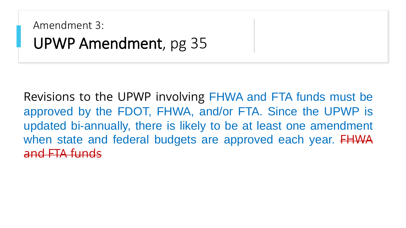Amendment 3: UPWP Amendment, pg 35

Revisions to the UPWP involving FHWA and FTA funds must be approved by the FDOT, FHWA, and/or FTA. Since the UPWP is updated bi-annually, there is likely to be at least one amendment when state and federal budgets are approved each year. FHWA and FTA funds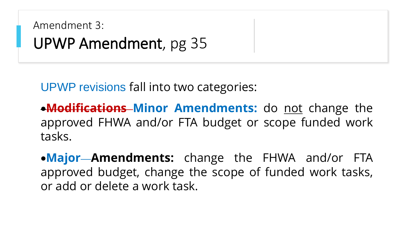```
Amendment 3: 
UPWP Amendment, pg 35
```
UPWP revisions fall into two categories:

**• Modifications–Minor Amendments:** do not change the approved FHWA and/or FTA budget or scope funded work tasks.

•**Major Amendments:** change the FHWA and/or FTA approved budget, change the scope of funded work tasks, or add or delete a work task.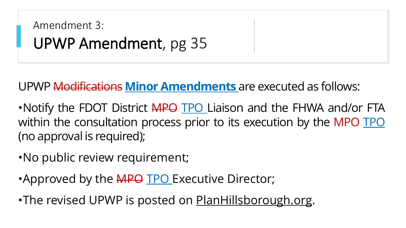```
Amendment 3: 
UPWP Amendment, pg 35
```
UPWP Modifications **Minor Amendments** are executed as follows:

•Notify the FDOT District APO TPO Liaison and the FHWA and/or FTA within the consultation process prior to its execution by the MPO TPO (no approval is required);

•No public review requirement;

•Approved by the **MPO TPO** Executive Director;

•The revised UPWP is posted on **[PlanHillsborough.org](http://www.planhillsborough.org/).**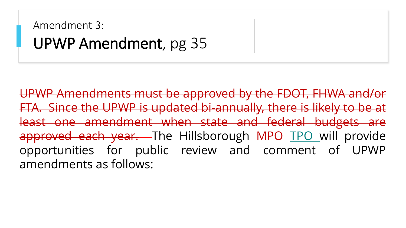### Amendment 3: UPWP Amendment, pg 35

UPWP Amendments must be approved by the FDOT, FHWA and/or FTA. Since the UPWP is updated bi-annually, there is likely to be at least one amendment when state and federal budgets are approved each year. The Hillsborough MPO TPO will provide opportunities for public review and comment of UPWP amendments as follows: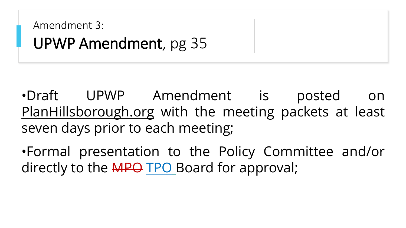Amendment 3: UPWP Amendment, pg 35

•Draft UPWP Amendment is posted on [PlanHillsborough.org](http://www.planhillsborough.org/) with the meeting packets at least seven days prior to each meeting;

•Formal presentation to the Policy Committee and/or directly to the MPO TPO Board for approval;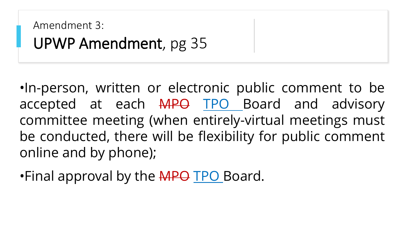```
Amendment 3: 
UPWP Amendment, pg 35
```
•In-person, written or electronic public comment to be accepted at each MPO TPO Board and advisory committee meeting (when entirely-virtual meetings must be conducted, there will be flexibility for public comment online and by phone);

•Final approval by the MPO TPO Board.